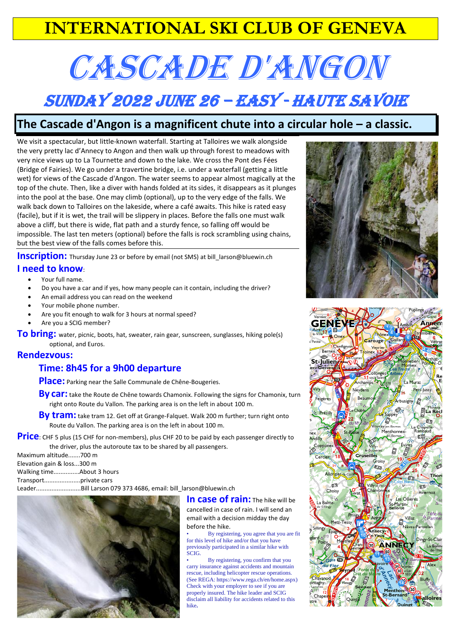## **INTERNATIONAL SKI CLUB OF GENEVA**

# CASCADE D'ANGON

# Sunday 2022 June 26 – Easy - Haute Savoie

## **The Cascade d'Angon is a magnificent chute into a circular hole – a classic.**

We visit a spectacular, but little-known waterfall. Starting at Talloires we walk alongside the very pretty lac d'Annecy to Angon and then walk up through forest to meadows with very nice views up to La Tournette and down to the lake. We cross the Pont des Fées (Bridge of Fairies). We go under a travertine bridge, i.e. under a waterfall (getting a little wet) for views of the Cascade d'Angon. The water seems to appear almost magically at the top of the chute. Then, like a diver with hands folded at its sides, it disappears as it plunges into the pool at the base. One may climb (optional), up to the very edge of the falls. We walk back down to Talloires on the lakeside, where a café awaits. This hike is rated easy (facile), but if it is wet, the trail will be slippery in places. Before the falls one must walk above a cliff, but there is wide, flat path and a sturdy fence, so falling off would be impossible. The last ten meters (optional) before the falls is rock scrambling using chains, but the best view of the falls comes before this.

**Inscription:** Thursday June 23 or before by email (not SMS) at [bill\\_larson@bluewin.ch](mailto:bill_larson@bluewin.ch)

### **I need to know**:

- Your full name.
- Do you have a car and if yes, how many people can it contain, including the driver?
- An email address you can read on the weekend
- Your mobile phone number.
- Are you fit enough to walk for 3 hours at normal speed?
- Are you a SCIG member?

To bring: water, picnic, boots, hat, sweater, rain gear, sunscreen, sunglasses, hiking pole(s) optional, and Euros.

#### **Rendezvous:**

## **Time: 8h45 for a 9h00 departure**

**Place:** Parking near the Salle Communale de Chêne-Bougeries.

**By car:** take the Route de Chêne towards Chamonix. Following the signs for Chamonix, turn right onto Route du Vallon. The parking area is on the left in about 100 m.

**By tram:** take tram 12. Get off at Grange-Falquet. Walk 200 m further; turn right onto Route du Vallon. The parking area is on the left in about 100 m.

**Price**: CHF 5 plus (15 CHF for non-members), plus CHF 20 to be paid by each passenger directly to the driver, plus the autoroute tax to be shared by all passengers.

Maximum altitude.......700 m Elevation gain & loss...300 m Walking time...............About 3 hours Transport.....................private cars

Leader..........................Bill Larson 079 373 4686, email: bill\_larson@bluewin.ch



**In case of rain:** The hike will be cancelled in case of rain. I will send an email with a decision midday the day before the hike.

• By registering, you agree that you are fit for this level of hike and/or that you have previously participated in a similar hike with SCIG.

• By registering, you confirm that you carry insurance against accidents and mountain rescue, including helicopter rescue operations. (See REGA: https://www.rega.ch/en/home.aspx) Check with your employer to see if you are properly insured. The hike leader and SCIG disclaim all liability for accidents related to this hike**.**